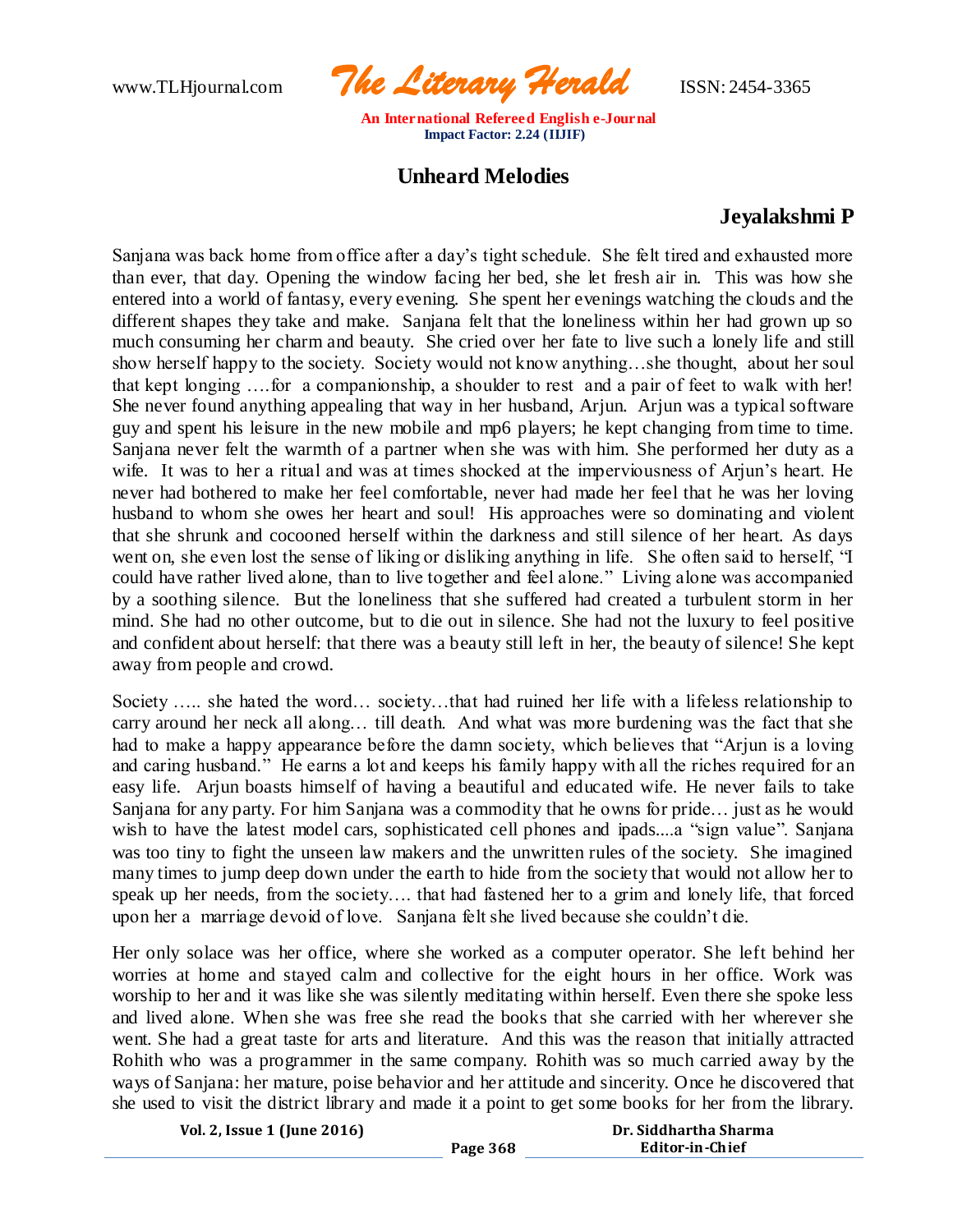

## **Unheard Melodies**

## **Jeyalakshmi P**

Sanjana was back home from office after a day's tight schedule. She felt tired and exhausted more than ever, that day. Opening the window facing her bed, she let fresh air in. This was how she entered into a world of fantasy, every evening. She spent her evenings watching the clouds and the different shapes they take and make. Sanjana felt that the loneliness within her had grown up so much consuming her charm and beauty. She cried over her fate to live such a lonely life and still show herself happy to the society. Society would not know anything…she thought, about her soul that kept longing ….for a companionship, a shoulder to rest and a pair of feet to walk with her! She never found anything appealing that way in her husband, Arjun. Arjun was a typical software guy and spent his leisure in the new mobile and mp6 players; he kept changing from time to time. Sanjana never felt the warmth of a partner when she was with him. She performed her duty as a wife. It was to her a ritual and was at times shocked at the imperviousness of Arjun's heart. He never had bothered to make her feel comfortable, never had made her feel that he was her loving husband to whom she owes her heart and soul! His approaches were so dominating and violent that she shrunk and cocooned herself within the darkness and still silence of her heart. As days went on, she even lost the sense of liking or disliking anything in life. She often said to herself, "I could have rather lived alone, than to live together and feel alone." Living alone was accompanied by a soothing silence. But the loneliness that she suffered had created a turbulent storm in her mind. She had no other outcome, but to die out in silence. She had not the luxury to feel positive and confident about herself: that there was a beauty still left in her, the beauty of silence! She kept away from people and crowd.

Society ….. she hated the word… society…that had ruined her life with a lifeless relationship to carry around her neck all along… till death. And what was more burdening was the fact that she had to make a happy appearance before the damn society, which believes that "Arjun is a loving and caring husband." He earns a lot and keeps his family happy with all the riches required for an easy life. Arjun boasts himself of having a beautiful and educated wife. He never fails to take Sanjana for any party. For him Sanjana was a commodity that he owns for pride… just as he would wish to have the latest model cars, sophisticated cell phones and ipads....a "sign value". Sanjana was too tiny to fight the unseen law makers and the unwritten rules of the society. She imagined many times to jump deep down under the earth to hide from the society that would not allow her to speak up her needs, from the society…. that had fastened her to a grim and lonely life, that forced upon her a marriage devoid of love. Sanjana felt she lived because she couldn't die.

Her only solace was her office, where she worked as a computer operator. She left behind her worries at home and stayed calm and collective for the eight hours in her office. Work was worship to her and it was like she was silently meditating within herself. Even there she spoke less and lived alone. When she was free she read the books that she carried with her wherever she went. She had a great taste for arts and literature. And this was the reason that initially attracted Rohith who was a programmer in the same company. Rohith was so much carried away by the ways of Sanjana: her mature, poise behavior and her attitude and sincerity. Once he discovered that she used to visit the district library and made it a point to get some books for her from the library.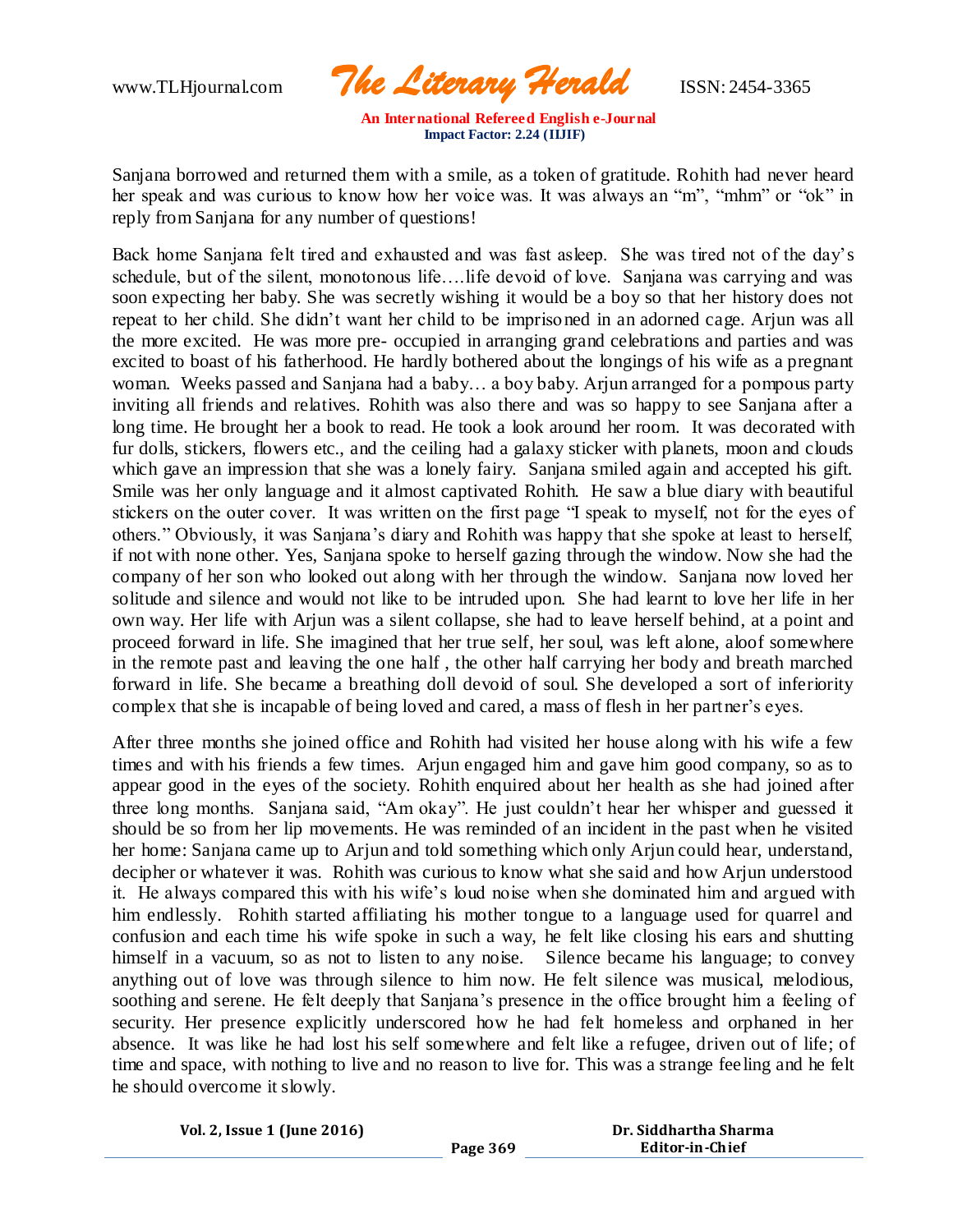www.TLHjournal.com *The Literary Herald*ISSN: 2454-3365

Sanjana borrowed and returned them with a smile, as a token of gratitude. Rohith had never heard her speak and was curious to know how her voice was. It was always an "m", "mhm" or "ok" in reply from Sanjana for any number of questions!

Back home Sanjana felt tired and exhausted and was fast asleep. She was tired not of the day's schedule, but of the silent, monotonous life….life devoid of love. Sanjana was carrying and was soon expecting her baby. She was secretly wishing it would be a boy so that her history does not repeat to her child. She didn't want her child to be imprisoned in an adorned cage. Arjun was all the more excited. He was more pre- occupied in arranging grand celebrations and parties and was excited to boast of his fatherhood. He hardly bothered about the longings of his wife as a pregnant woman. Weeks passed and Sanjana had a baby… a boy baby. Arjun arranged for a pompous party inviting all friends and relatives. Rohith was also there and was so happy to see Sanjana after a long time. He brought her a book to read. He took a look around her room. It was decorated with fur dolls, stickers, flowers etc., and the ceiling had a galaxy sticker with planets, moon and clouds which gave an impression that she was a lonely fairy. Sanjana smiled again and accepted his gift. Smile was her only language and it almost captivated Rohith. He saw a blue diary with beautiful stickers on the outer cover. It was written on the first page "I speak to myself, not for the eyes of others." Obviously, it was Sanjana's diary and Rohith was happy that she spoke at least to herself, if not with none other. Yes, Sanjana spoke to herself gazing through the window. Now she had the company of her son who looked out along with her through the window. Sanjana now loved her solitude and silence and would not like to be intruded upon. She had learnt to love her life in her own way. Her life with Arjun was a silent collapse, she had to leave herself behind, at a point and proceed forward in life. She imagined that her true self, her soul, was left alone, aloof somewhere in the remote past and leaving the one half , the other half carrying her body and breath marched forward in life. She became a breathing doll devoid of soul. She developed a sort of inferiority complex that she is incapable of being loved and cared, a mass of flesh in her partner's eyes.

After three months she joined office and Rohith had visited her house along with his wife a few times and with his friends a few times. Arjun engaged him and gave him good company, so as to appear good in the eyes of the society. Rohith enquired about her health as she had joined after three long months. Sanjana said, "Am okay". He just couldn't hear her whisper and guessed it should be so from her lip movements. He was reminded of an incident in the past when he visited her home: Sanjana came up to Arjun and told something which only Arjun could hear, understand, decipher or whatever it was. Rohith was curious to know what she said and how Arjun understood it. He always compared this with his wife's loud noise when she dominated him and argued with him endlessly. Rohith started affiliating his mother tongue to a language used for quarrel and confusion and each time his wife spoke in such a way, he felt like closing his ears and shutting himself in a vacuum, so as not to listen to any noise. Silence became his language; to convey anything out of love was through silence to him now. He felt silence was musical, melodious, soothing and serene. He felt deeply that Sanjana's presence in the office brought him a feeling of security. Her presence explicitly underscored how he had felt homeless and orphaned in her absence. It was like he had lost his self somewhere and felt like a refugee, driven out of life; of time and space, with nothing to live and no reason to live for. This was a strange feeling and he felt he should overcome it slowly.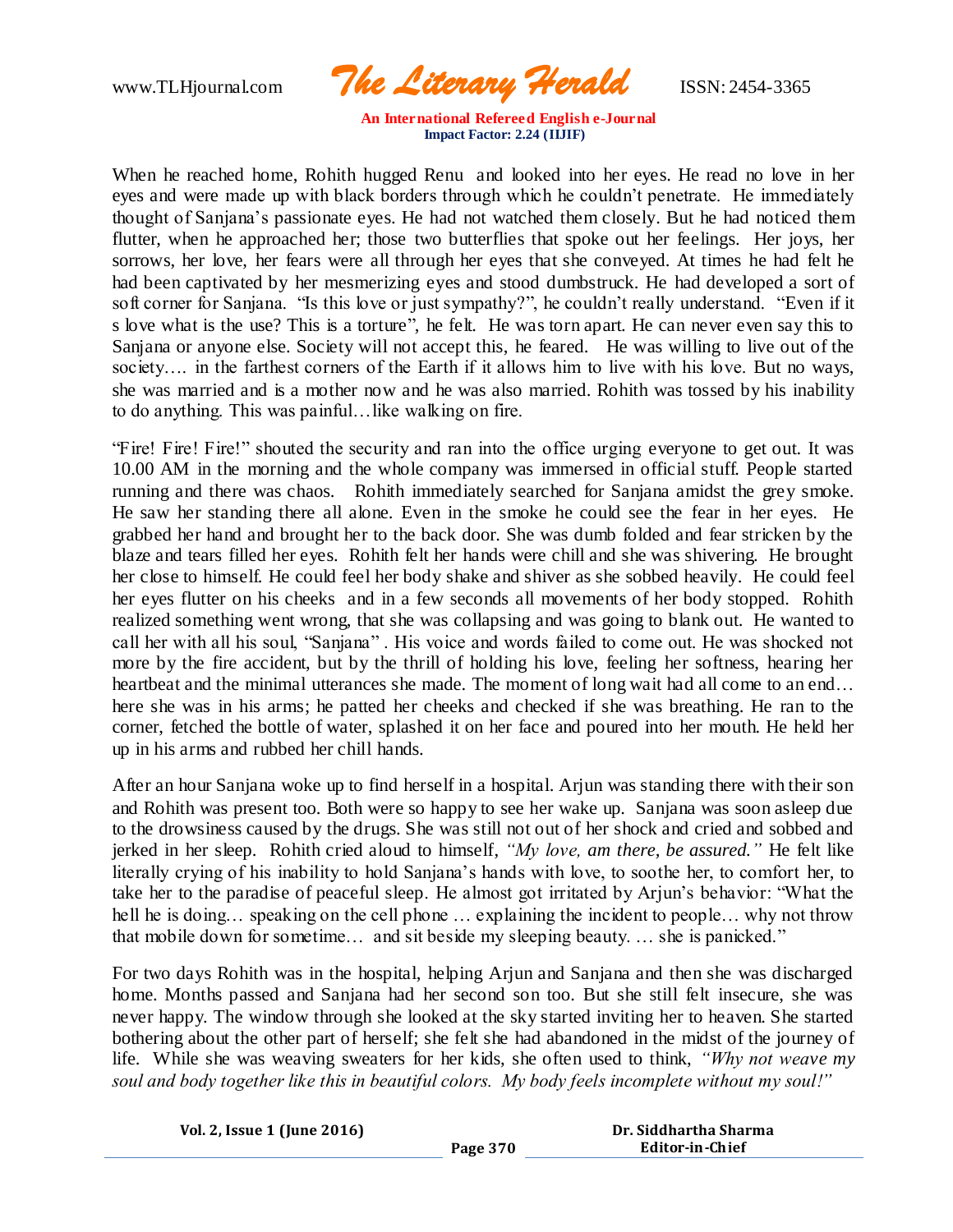www.TLHjournal.com *The Literary Herald*ISSN: 2454-3365

When he reached home, Rohith hugged Renu and looked into her eyes. He read no love in her eyes and were made up with black borders through which he couldn't penetrate. He immediately thought of Sanjana's passionate eyes. He had not watched them closely. But he had noticed them flutter, when he approached her; those two butterflies that spoke out her feelings. Her joys, her sorrows, her love, her fears were all through her eyes that she conveyed. At times he had felt he had been captivated by her mesmerizing eyes and stood dumbstruck. He had developed a sort of soft corner for Sanjana. "Is this love or just sympathy?", he couldn't really understand. "Even if it s love what is the use? This is a torture", he felt. He was torn apart. He can never even say this to Sanjana or anyone else. Society will not accept this, he feared. He was willing to live out of the society.... in the farthest corners of the Earth if it allows him to live with his love. But no ways, she was married and is a mother now and he was also married. Rohith was tossed by his inability to do anything. This was painful…like walking on fire.

"Fire! Fire! Fire!" shouted the security and ran into the office urging everyone to get out. It was 10.00 AM in the morning and the whole company was immersed in official stuff. People started running and there was chaos. Rohith immediately searched for Sanjana amidst the grey smoke. He saw her standing there all alone. Even in the smoke he could see the fear in her eyes. He grabbed her hand and brought her to the back door. She was dumb folded and fear stricken by the blaze and tears filled her eyes. Rohith felt her hands were chill and she was shivering. He brought her close to himself. He could feel her body shake and shiver as she sobbed heavily. He could feel her eyes flutter on his cheeks and in a few seconds all movements of her body stopped. Rohith realized something went wrong, that she was collapsing and was going to blank out. He wanted to call her with all his soul, "Sanjana" . His voice and words failed to come out. He was shocked not more by the fire accident, but by the thrill of holding his love, feeling her softness, hearing her heartbeat and the minimal utterances she made. The moment of long wait had all come to an end... here she was in his arms; he patted her cheeks and checked if she was breathing. He ran to the corner, fetched the bottle of water, splashed it on her face and poured into her mouth. He held her up in his arms and rubbed her chill hands.

After an hour Sanjana woke up to find herself in a hospital. Arjun was standing there with their son and Rohith was present too. Both were so happy to see her wake up. Sanjana was soon asleep due to the drowsiness caused by the drugs. She was still not out of her shock and cried and sobbed and jerked in her sleep. Rohith cried aloud to himself, *"My love, am there, be assured."* He felt like literally crying of his inability to hold Sanjana's hands with love, to soothe her, to comfort her, to take her to the paradise of peaceful sleep. He almost got irritated by Arjun's behavior: "What the hell he is doing... speaking on the cell phone ... explaining the incident to people... why not throw that mobile down for sometime… and sit beside my sleeping beauty. … she is panicked."

For two days Rohith was in the hospital, helping Arjun and Sanjana and then she was discharged home. Months passed and Sanjana had her second son too. But she still felt insecure, she was never happy. The window through she looked at the sky started inviting her to heaven. She started bothering about the other part of herself; she felt she had abandoned in the midst of the journey of life. While she was weaving sweaters for her kids, she often used to think, *"Why not weave my soul and body together like this in beautiful colors. My body feels incomplete without my soul!"*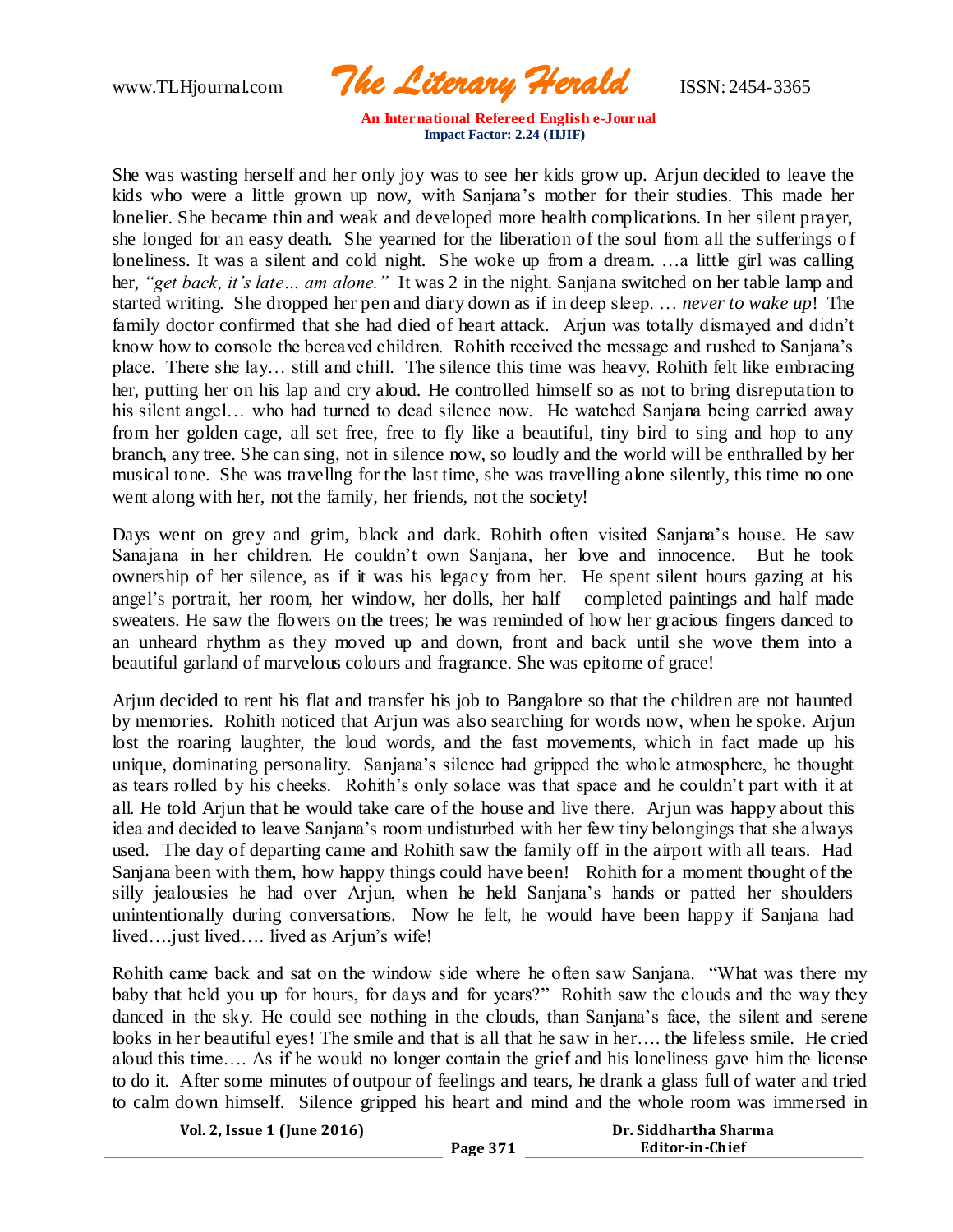www.TLHjournal.com *The Literary Herald*ISSN: 2454-3365

She was wasting herself and her only joy was to see her kids grow up. Arjun decided to leave the kids who were a little grown up now, with Sanjana's mother for their studies. This made her lonelier. She became thin and weak and developed more health complications. In her silent prayer, she longed for an easy death. She yearned for the liberation of the soul from all the sufferings of loneliness. It was a silent and cold night. She woke up from a dream. ...a little girl was calling her, *"get back, it's late… am alone."* It was 2 in the night. Sanjana switched on her table lamp and started writing. She dropped her pen and diary down as if in deep sleep. … *never to wake up*! The family doctor confirmed that she had died of heart attack. Arjun was totally dismayed and didn't know how to console the bereaved children. Rohith received the message and rushed to Sanjana's place. There she lay… still and chill. The silence this time was heavy. Rohith felt like embracing her, putting her on his lap and cry aloud. He controlled himself so as not to bring disreputation to his silent angel... who had turned to dead silence now. He watched Sanjana being carried away from her golden cage, all set free, free to fly like a beautiful, tiny bird to sing and hop to any branch, any tree. She can sing, not in silence now, so loudly and the world will be enthralled by her musical tone. She was travellng for the last time, she was travelling alone silently, this time no one went along with her, not the family, her friends, not the society!

Days went on grey and grim, black and dark. Rohith often visited Sanjana's house. He saw Sanajana in her children. He couldn't own Sanjana, her love and innocence. But he took ownership of her silence, as if it was his legacy from her. He spent silent hours gazing at his angel's portrait, her room, her window, her dolls, her half – completed paintings and half made sweaters. He saw the flowers on the trees; he was reminded of how her gracious fingers danced to an unheard rhythm as they moved up and down, front and back until she wove them into a beautiful garland of marvelous colours and fragrance. She was epitome of grace!

Arjun decided to rent his flat and transfer his job to Bangalore so that the children are not haunted by memories. Rohith noticed that Arjun was also searching for words now, when he spoke. Arjun lost the roaring laughter, the loud words, and the fast movements, which in fact made up his unique, dominating personality. Sanjana's silence had gripped the whole atmosphere, he thought as tears rolled by his cheeks. Rohith's only solace was that space and he couldn't part with it at all. He told Arjun that he would take care of the house and live there. Arjun was happy about this idea and decided to leave Sanjana's room undisturbed with her few tiny belongings that she always used. The day of departing came and Rohith saw the family off in the airport with all tears. Had Sanjana been with them, how happy things could have been! Rohith for a moment thought of the silly jealousies he had over Arjun, when he held Sanjana's hands or patted her shoulders unintentionally during conversations. Now he felt, he would have been happy if Sanjana had lived….just lived…. lived as Arjun's wife!

Rohith came back and sat on the window side where he often saw Sanjana. "What was there my baby that held you up for hours, for days and for years?" Rohith saw the clouds and the way they danced in the sky. He could see nothing in the clouds, than Sanjana's face, the silent and serene looks in her beautiful eyes! The smile and that is all that he saw in her…. the lifeless smile. He cried aloud this time…. As if he would no longer contain the grief and his loneliness gave him the license to do it. After some minutes of outpour of feelings and tears, he drank a glass full of water and tried to calm down himself. Silence gripped his heart and mind and the whole room was immersed in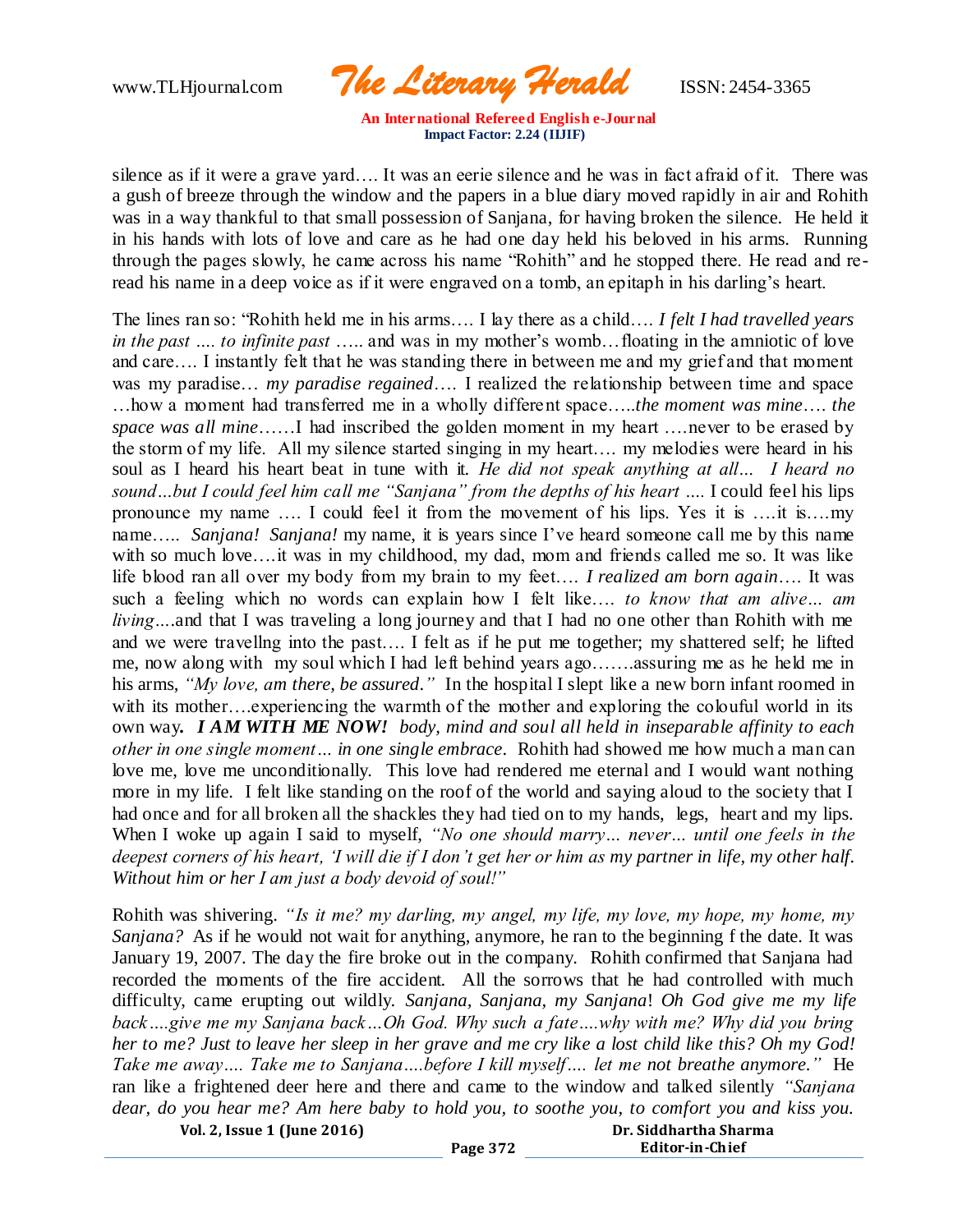www.TLHjournal.com *The Literary Herald*ISSN: 2454-3365

silence as if it were a grave yard…. It was an eerie silence and he was in fact afraid of it. There was a gush of breeze through the window and the papers in a blue diary moved rapidly in air and Rohith was in a way thankful to that small possession of Sanjana, for having broken the silence. He held it in his hands with lots of love and care as he had one day held his beloved in his arms. Running through the pages slowly, he came across his name "Rohith" and he stopped there. He read and reread his name in a deep voice as if it were engraved on a tomb, an epitaph in his darling's heart.

The lines ran so: "Rohith held me in his arms…. I lay there as a child…. *I felt I had travelled years in the past …. to infinite past* ….. and was in my mother's womb…floating in the amniotic of love and care…. I instantly felt that he was standing there in between me and my grief and that moment was my paradise… *my paradise regained*…. I realized the relationship between time and space …how a moment had transferred me in a wholly different space…..*the moment was mine*…. *the space was all mine*……I had inscribed the golden moment in my heart ….never to be erased by the storm of my life. All my silence started singing in my heart…. my melodies were heard in his soul as I heard his heart beat in tune with it. *He did not speak anything at all… I heard no sound…but I could feel him call me "Sanjana" from the depths of his heart ….* I could feel his lips pronounce my name …. I could feel it from the movement of his lips. Yes it is ….it is….my name….. *Sanjana! Sanjana!* my name, it is years since I've heard someone call me by this name with so much love....it was in my childhood, my dad, mom and friends called me so. It was like life blood ran all over my body from my brain to my feet…. *I realized am born again*…. It was such a feeling which no words can explain how I felt like…. *to know that am alive… am living*....and that I was traveling a long journey and that I had no one other than Rohith with me and we were travellng into the past…. I felt as if he put me together; my shattered self; he lifted me, now along with my soul which I had left behind years ago…….assuring me as he held me in his arms, *"My love, am there, be assured*.*"* In the hospital I slept like a new born infant roomed in with its mother.... experiencing the warmth of the mother and exploring the colouful world in its own way*. I AM WITH ME NOW! body, mind and soul all held in inseparable affinity to each other in one single moment… in one single embrace*. Rohith had showed me how much a man can love me, love me unconditionally. This love had rendered me eternal and I would want nothing more in my life. I felt like standing on the roof of the world and saying aloud to the society that I had once and for all broken all the shackles they had tied on to my hands, legs, heart and my lips. When I woke up again I said to myself, *"No one should marry… never… until one feels in the deepest corners of his heart, 'I will die if I don't get her or him as my partner in life, my other half. Without him or her I am just a body devoid of soul!"*

Rohith was shivering. *"Is it me? my darling, my angel, my life, my love, my hope, my home, my Sanjana?* As if he would not wait for anything, anymore, he ran to the beginning f the date. It was January 19, 2007. The day the fire broke out in the company. Rohith confirmed that Sanjana had recorded the moments of the fire accident. All the sorrows that he had controlled with much difficulty, came erupting out wildly. *Sanjana, Sanjana, my Sanjana*! *Oh God give me my life back….give me my Sanjana back…Oh God. Why such a fate….why with me? Why did you bring her to me? Just to leave her sleep in her grave and me cry like a lost child like this? Oh my God! Take me away…. Take me to Sanjana….before I kill myself…. let me not breathe anymore."* He ran like a frightened deer here and there and came to the window and talked silently *"Sanjana dear, do you hear me? Am here baby to hold you, to soothe you, to comfort you and kiss you.*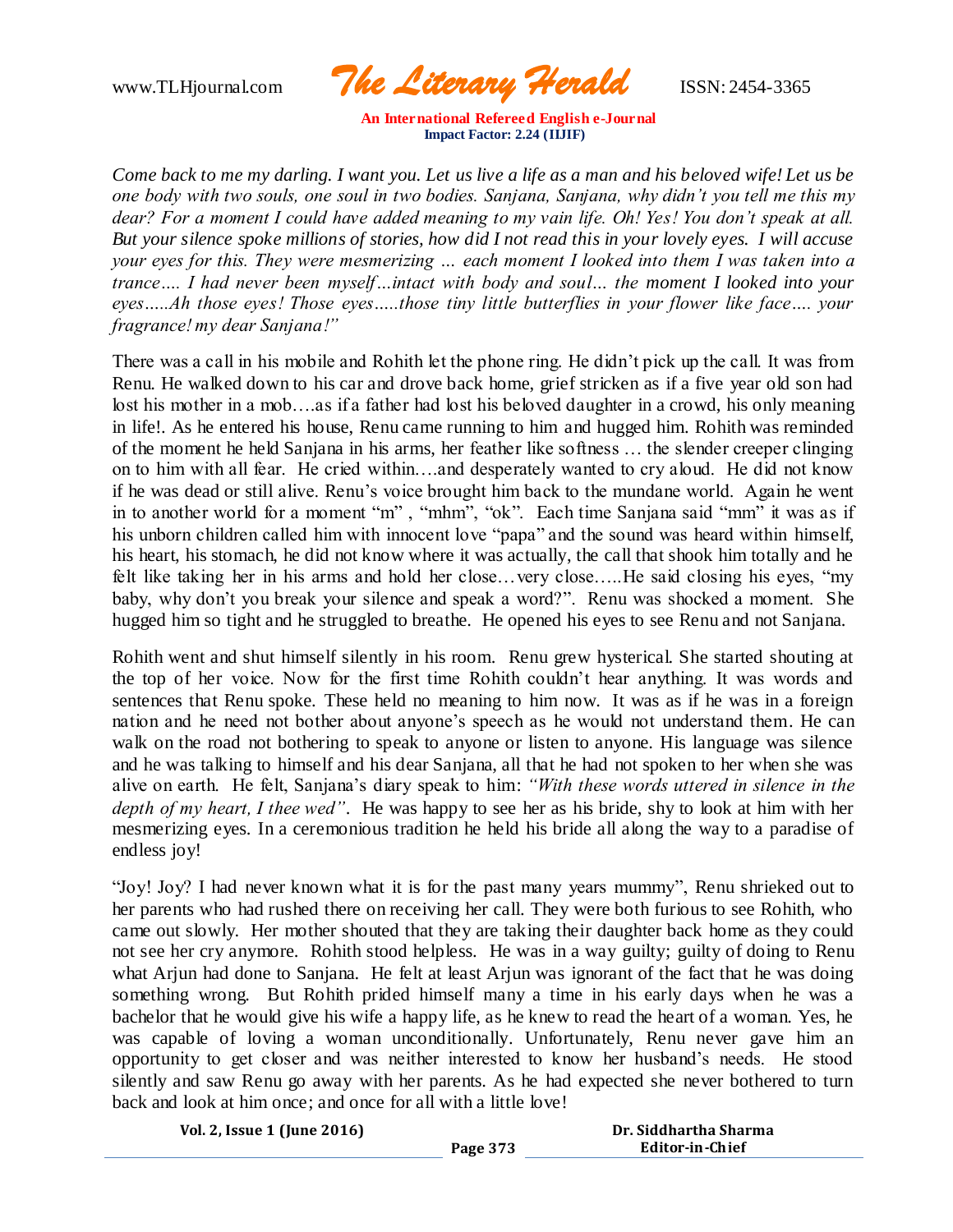www.TLHjournal.com *The Literary Herald*ISSN: 2454-3365

*Come back to me my darling. I want you. Let us live a life as a man and his beloved wife! Let us be one body with two souls, one soul in two bodies. Sanjana, Sanjana, why didn't you tell me this my dear? For a moment I could have added meaning to my vain life. Oh! Yes! You don't speak at all. But your silence spoke millions of stories, how did I not read this in your lovely eyes. I will accuse your eyes for this. They were mesmerizing … each moment I looked into them I was taken into a trance…. I had never been myself…intact with body and soul… the moment I looked into your eyes…..Ah those eyes! Those eyes…..those tiny little butterflies in your flower like face…. your fragrance! my dear Sanjana!"*

There was a call in his mobile and Rohith let the phone ring. He didn't pick up the call. It was from Renu. He walked down to his car and drove back home, grief stricken as if a five year old son had lost his mother in a mob….as if a father had lost his beloved daughter in a crowd, his only meaning in life!. As he entered his house, Renu came running to him and hugged him. Rohith was reminded of the moment he held Sanjana in his arms, her feather like softness … the slender creeper clinging on to him with all fear. He cried within….and desperately wanted to cry aloud. He did not know if he was dead or still alive. Renu's voice brought him back to the mundane world. Again he went in to another world for a moment "m" , "mhm", "ok". Each time Sanjana said "mm" it was as if his unborn children called him with innocent love "papa" and the sound was heard within himself, his heart, his stomach, he did not know where it was actually, the call that shook him totally and he felt like taking her in his arms and hold her close…very close…..He said closing his eyes, "my baby, why don't you break your silence and speak a word?". Renu was shocked a moment. She hugged him so tight and he struggled to breathe. He opened his eyes to see Renu and not Sanjana.

Rohith went and shut himself silently in his room. Renu grew hysterical. She started shouting at the top of her voice. Now for the first time Rohith couldn't hear anything. It was words and sentences that Renu spoke. These held no meaning to him now. It was as if he was in a foreign nation and he need not bother about anyone's speech as he would not understand them. He can walk on the road not bothering to speak to anyone or listen to anyone. His language was silence and he was talking to himself and his dear Sanjana, all that he had not spoken to her when she was alive on earth. He felt, Sanjana's diary speak to him: *"With these words uttered in silence in the depth of my heart, I thee wed"*. He was happy to see her as his bride, shy to look at him with her mesmerizing eyes. In a ceremonious tradition he held his bride all along the way to a paradise of endless joy!

"Joy! Joy? I had never known what it is for the past many years mummy", Renu shrieked out to her parents who had rushed there on receiving her call. They were both furious to see Rohith, who came out slowly. Her mother shouted that they are taking their daughter back home as they could not see her cry anymore. Rohith stood helpless. He was in a way guilty; guilty of doing to Renu what Arjun had done to Sanjana. He felt at least Arjun was ignorant of the fact that he was doing something wrong. But Rohith prided himself many a time in his early days when he was a bachelor that he would give his wife a happy life, as he knew to read the heart of a woman. Yes, he was capable of loving a woman unconditionally. Unfortunately, Renu never gave him an opportunity to get closer and was neither interested to know her husband's needs. He stood silently and saw Renu go away with her parents. As he had expected she never bothered to turn back and look at him once; and once for all with a little love!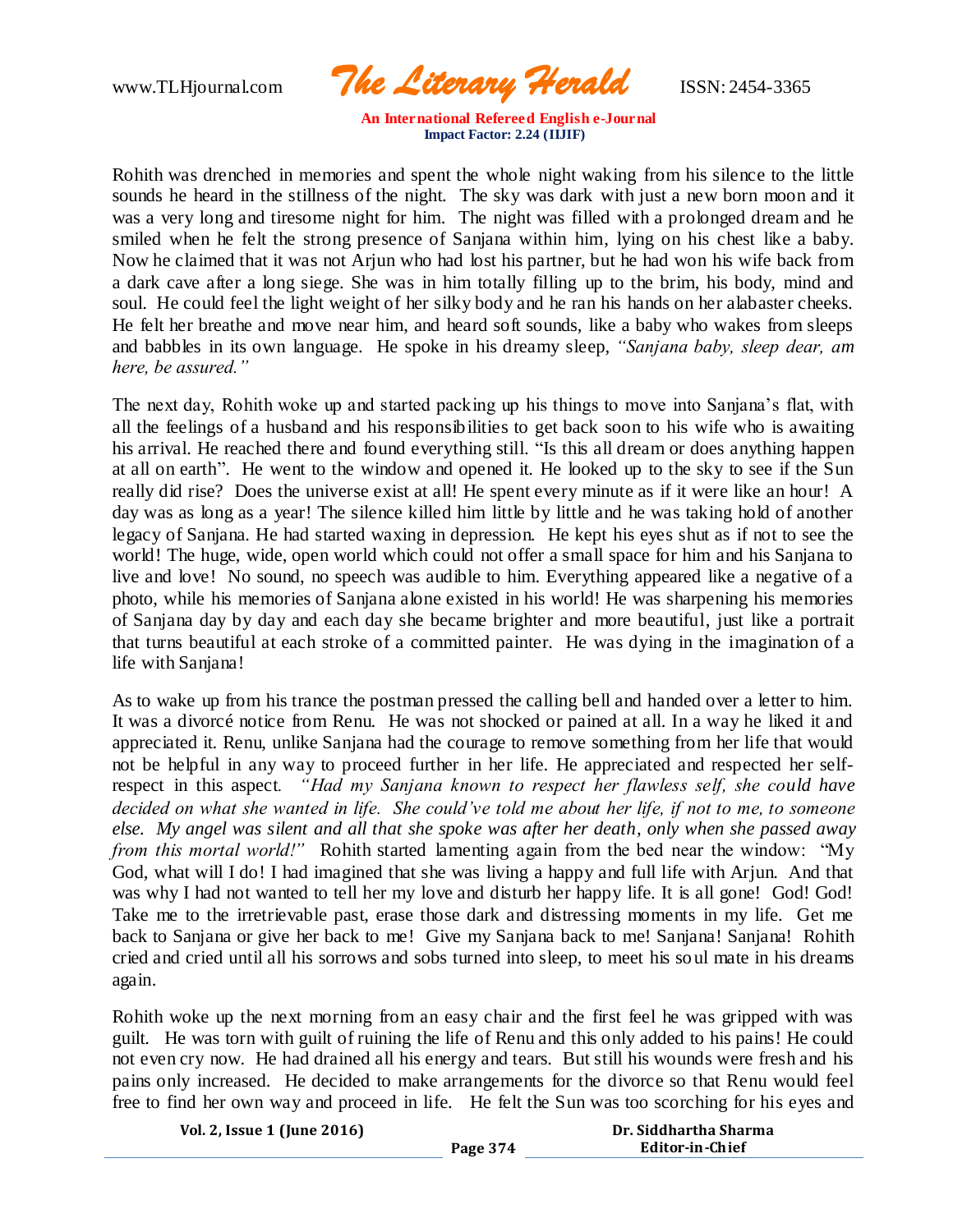www.TLHjournal.com *The Literary Herald*ISSN: 2454-3365

Rohith was drenched in memories and spent the whole night waking from his silence to the little sounds he heard in the stillness of the night. The sky was dark with just a new born moon and it was a very long and tiresome night for him. The night was filled with a prolonged dream and he smiled when he felt the strong presence of Sanjana within him, lying on his chest like a baby. Now he claimed that it was not Arjun who had lost his partner, but he had won his wife back from a dark cave after a long siege. She was in him totally filling up to the brim, his body, mind and soul. He could feel the light weight of her silky body and he ran his hands on her alabaster cheeks. He felt her breathe and move near him, and heard soft sounds, like a baby who wakes from sleeps and babbles in its own language. He spoke in his dreamy sleep, *"Sanjana baby, sleep dear, am here, be assured."*

The next day, Rohith woke up and started packing up his things to move into Sanjana's flat, with all the feelings of a husband and his responsibilities to get back soon to his wife who is awaiting his arrival. He reached there and found everything still. "Is this all dream or does anything happen at all on earth". He went to the window and opened it. He looked up to the sky to see if the Sun really did rise? Does the universe exist at all! He spent every minute as if it were like an hour! A day was as long as a year! The silence killed him little by little and he was taking hold of another legacy of Sanjana. He had started waxing in depression. He kept his eyes shut as if not to see the world! The huge, wide, open world which could not offer a small space for him and his Sanjana to live and love! No sound, no speech was audible to him. Everything appeared like a negative of a photo, while his memories of Sanjana alone existed in his world! He was sharpening his memories of Sanjana day by day and each day she became brighter and more beautiful, just like a portrait that turns beautiful at each stroke of a committed painter. He was dying in the imagination of a life with Sanjana!

As to wake up from his trance the postman pressed the calling bell and handed over a letter to him. It was a divorcé notice from Renu. He was not shocked or pained at all. In a way he liked it and appreciated it. Renu, unlike Sanjana had the courage to remove something from her life that would not be helpful in any way to proceed further in her life. He appreciated and respected her selfrespect in this aspect*. "Had my Sanjana known to respect her flawless self, she could have decided on what she wanted in life. She could've told me about her life, if not to me, to someone else. My angel was silent and all that she spoke was after her death, only when she passed away from this mortal world!"* Rohith started lamenting again from the bed near the window: "My God, what will I do! I had imagined that she was living a happy and full life with Arjun. And that was why I had not wanted to tell her my love and disturb her happy life. It is all gone! God! God! Take me to the irretrievable past, erase those dark and distressing moments in my life. Get me back to Sanjana or give her back to me! Give my Sanjana back to me! Sanjana! Sanjana! Rohith cried and cried until all his sorrows and sobs turned into sleep, to meet his soul mate in his dreams again.

Rohith woke up the next morning from an easy chair and the first feel he was gripped with was guilt. He was torn with guilt of ruining the life of Renu and this only added to his pains! He could not even cry now. He had drained all his energy and tears. But still his wounds were fresh and his pains only increased. He decided to make arrangements for the divorce so that Renu would feel free to find her own way and proceed in life. He felt the Sun was too scorching for his eyes and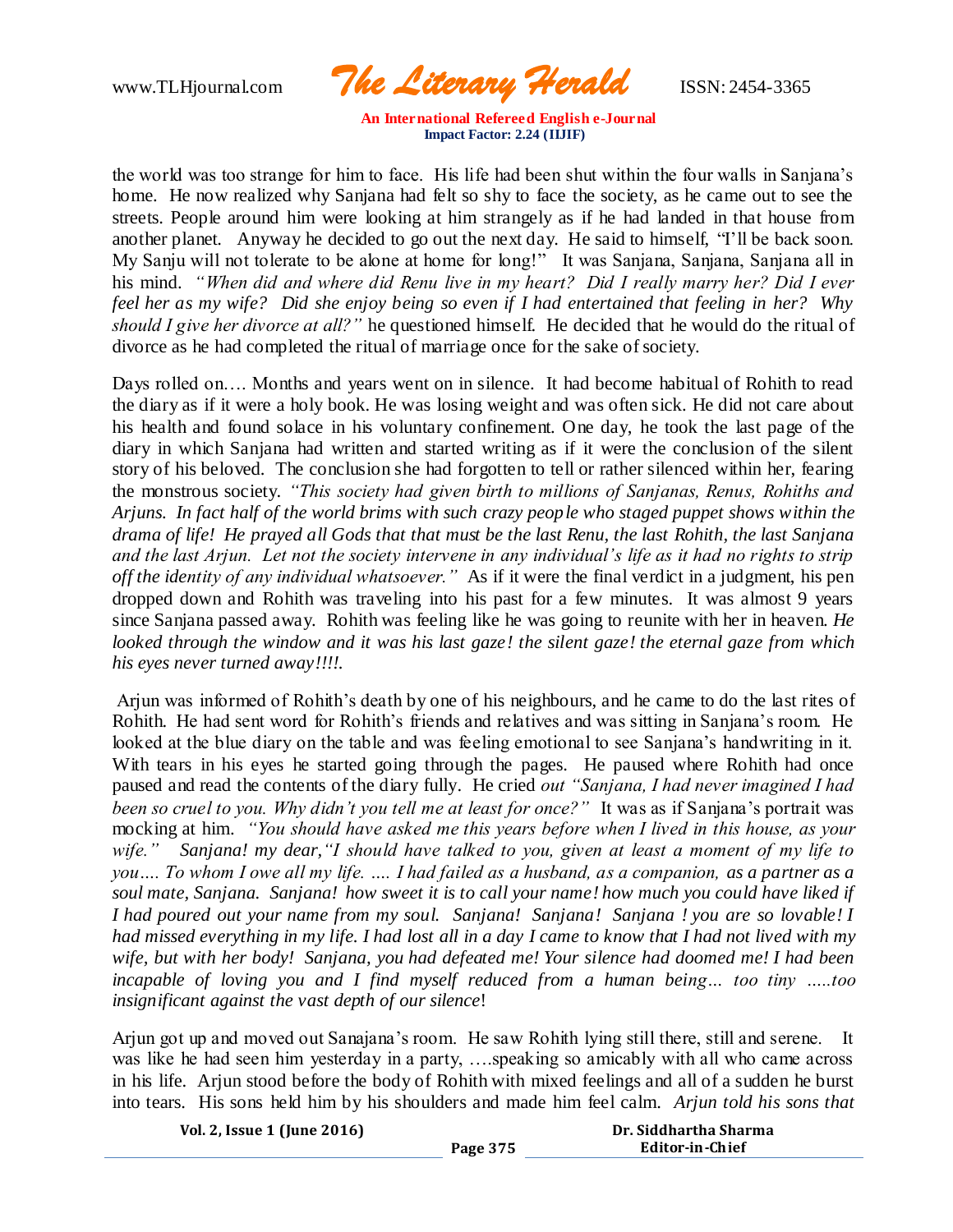www.TLHjournal.com *The Literary Herald*ISSN: 2454-3365

the world was too strange for him to face. His life had been shut within the four walls in Sanjana's home. He now realized why Sanjana had felt so shy to face the society, as he came out to see the streets. People around him were looking at him strangely as if he had landed in that house from another planet. Anyway he decided to go out the next day. He said to himself, "I'll be back soon. My Sanju will not tolerate to be alone at home for long!" It was Sanjana, Sanjana, Sanjana all in his mind. *"When did and where did Renu live in my heart? Did I really marry her? Did I ever feel her as my wife? Did she enjoy being so even if I had entertained that feeling in her? Why should I give her divorce at all?"* he questioned himself. He decided that he would do the ritual of divorce as he had completed the ritual of marriage once for the sake of society.

Days rolled on…. Months and years went on in silence. It had become habitual of Rohith to read the diary as if it were a holy book. He was losing weight and was often sick. He did not care about his health and found solace in his voluntary confinement. One day, he took the last page of the diary in which Sanjana had written and started writing as if it were the conclusion of the silent story of his beloved. The conclusion she had forgotten to tell or rather silenced within her, fearing the monstrous society. *"This society had given birth to millions of Sanjanas, Renus, Rohiths and Arjuns. In fact half of the world brims with such crazy people who staged puppet shows within the drama of life! He prayed all Gods that that must be the last Renu, the last Rohith, the last Sanjana and the last Arjun. Let not the society intervene in any individual's life as it had no rights to strip off the identity of any individual whatsoever."* As if it were the final verdict in a judgment, his pen dropped down and Rohith was traveling into his past for a few minutes. It was almost 9 years since Sanjana passed away. Rohith was feeling like he was going to reunite with her in heaven. *He looked through the window and it was his last gaze! the silent gaze! the eternal gaze from which his eyes never turned away!!!!.* 

Arjun was informed of Rohith's death by one of his neighbours, and he came to do the last rites of Rohith. He had sent word for Rohith's friends and relatives and was sitting in Sanjana's room. He looked at the blue diary on the table and was feeling emotional to see Sanjana's handwriting in it. With tears in his eyes he started going through the pages. He paused where Rohith had once paused and read the contents of the diary fully. He cried *out "Sanjana, I had never imagined I had been so cruel to you. Why didn't you tell me at least for once?"* It was as if Sanjana's portrait was mocking at him. *"You should have asked me this years before when I lived in this house, as your wife." Sanjana! my dear,"I should have talked to you, given at least a moment of my life to you…. To whom I owe all my life. …. I had failed as a husband, as a companion, as a partner as a soul mate, Sanjana. Sanjana! how sweet it is to call your name! how much you could have liked if I had poured out your name from my soul. Sanjana! Sanjana! Sanjana ! you are so lovable! I had missed everything in my life. I had lost all in a day I came to know that I had not lived with my wife, but with her body! Sanjana, you had defeated me! Your silence had doomed me! I had been incapable of loving you and I find myself reduced from a human being… too tiny …..too insignificant against the vast depth of our silence*!

Arjun got up and moved out Sanajana's room. He saw Rohith lying still there, still and serene. It was like he had seen him yesterday in a party, ….speaking so amicably with all who came across in his life. Arjun stood before the body of Rohith with mixed feelings and all of a sudden he burst into tears. His sons held him by his shoulders and made him feel calm. *Arjun told his sons that*